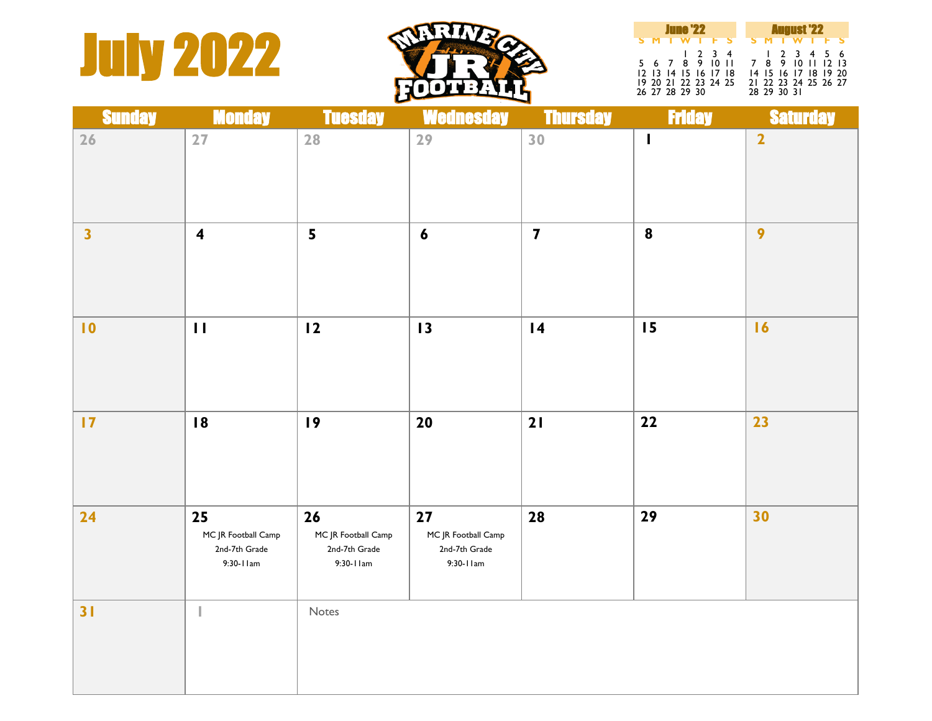## **July 2022**



| <b>June '22</b> |  |  |                      |  |  | <b>August '22</b> |  |  |  |                                     |  |  |  |
|-----------------|--|--|----------------------|--|--|-------------------|--|--|--|-------------------------------------|--|--|--|
|                 |  |  |                      |  |  | <b>SMTWTFS</b>    |  |  |  | <b>SMTWTFS</b>                      |  |  |  |
|                 |  |  | 5 6 7 8 9 10 11      |  |  | 1234              |  |  |  | 1 2 3 4 5 6<br>7 8 9 10 11 12 13    |  |  |  |
|                 |  |  | 12 13 14 15 16 17 18 |  |  |                   |  |  |  | 14 15 16 17 18 19 20                |  |  |  |
| 26 27 28 29 30  |  |  | 19 20 21 22 23 24 25 |  |  |                   |  |  |  | 21 22 23 24 25 26 27<br>28 29 30 31 |  |  |  |

| <b>Sunday</b>           | <b>Monday</b>                                           | <b>Tuesday</b>                                          | <b>Wednesday</b>                                        | <b>Thursday</b>         | <b>Friday</b>    | <b>Saturday</b>         |
|-------------------------|---------------------------------------------------------|---------------------------------------------------------|---------------------------------------------------------|-------------------------|------------------|-------------------------|
| 26                      | 27                                                      | 28                                                      | 29                                                      | 30                      | $\mathbf{I}$     | $\overline{\mathbf{2}}$ |
| $\overline{\mathbf{3}}$ | $\overline{\mathbf{4}}$                                 | $5\overline{)}$                                         | $\boldsymbol{6}$                                        | $\overline{\mathbf{7}}$ | $\boldsymbol{8}$ | $\overline{9}$          |
| $\blacksquare$          | $\mathbf{H}$                                            | 12                                                      | 13                                                      | $\overline{14}$         | 15               | 16                      |
| $\overline{17}$         | 18                                                      | 19                                                      | 20                                                      | 21                      | 22               | 23                      |
| 24                      | 25<br>MC JR Football Camp<br>2nd-7th Grade<br>9:30-11am | 26<br>MC JR Football Camp<br>2nd-7th Grade<br>9:30-11am | 27<br>MC JR Football Camp<br>2nd-7th Grade<br>9:30-11am | 28                      | 29               | 30                      |
| 31                      |                                                         | Notes                                                   |                                                         |                         |                  |                         |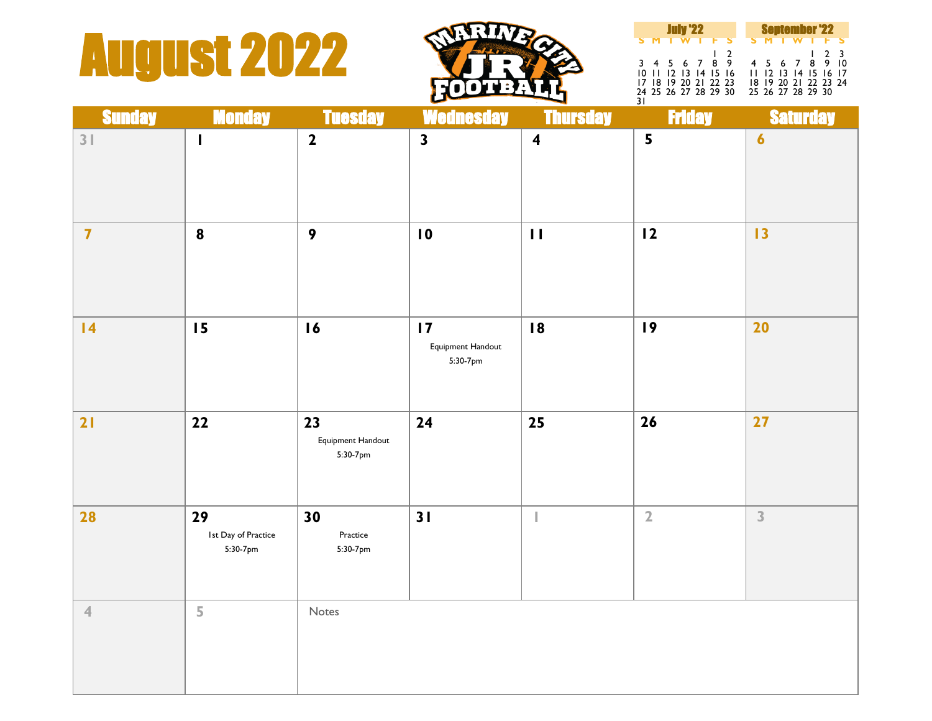## **August 2022**



| <b>July '22</b>                                                                             |  |  |            |  |  | <b>September '22</b>                                                                |  |  |  |     |  |
|---------------------------------------------------------------------------------------------|--|--|------------|--|--|-------------------------------------------------------------------------------------|--|--|--|-----|--|
| <b>SMTWTFS</b>                                                                              |  |  |            |  |  | <b>SMTWTFS</b>                                                                      |  |  |  |     |  |
| 3 4 5 6 7 8 9<br>10 11 12 13 14 15 16<br>17 18 19 20 21 22 23<br>24 25 26 27 28 29 30<br>31 |  |  | $\sqrt{2}$ |  |  | 4 5 6 7 8 9 10<br>11 12 13 14 15 16 17<br>18 19 20 21 22 23 24<br>25 26 27 28 29 30 |  |  |  | 123 |  |

| <b>Sunday</b>           | <b>Monday</b>                         | <b>Tuesday</b>                      | <b>Wednesday</b>                                 | <b>Thursday</b>         | <b>Friday</b>           | <b>Saturday</b>  |
|-------------------------|---------------------------------------|-------------------------------------|--------------------------------------------------|-------------------------|-------------------------|------------------|
| 3 <sup>1</sup>          | $\mathbf{I}$                          | $\mathbf{2}$                        | $\overline{\mathbf{3}}$                          | $\overline{\mathbf{4}}$ | $\overline{\mathbf{5}}$ | $\boldsymbol{6}$ |
| $\overline{\mathbf{7}}$ | $\boldsymbol{8}$                      | $\boldsymbol{9}$                    | $\overline{10}$                                  | $\mathbf{H}$            | 12                      | 13               |
| 4                       | 15                                    | 16                                  | $\overline{17}$<br>Equipment Handout<br>5:30-7pm | 18                      | 19                      | 20               |
| 21                      | 22                                    | 23<br>Equipment Handout<br>5:30-7pm | 24                                               | 25                      | 26                      | 27               |
| 28                      | 29<br>Ist Day of Practice<br>5:30-7pm | 30<br>Practice<br>5:30-7pm          | 31                                               |                         | $\overline{2}$          | 3                |
| $\overline{4}$          | $\overline{5}$                        | Notes                               |                                                  |                         |                         |                  |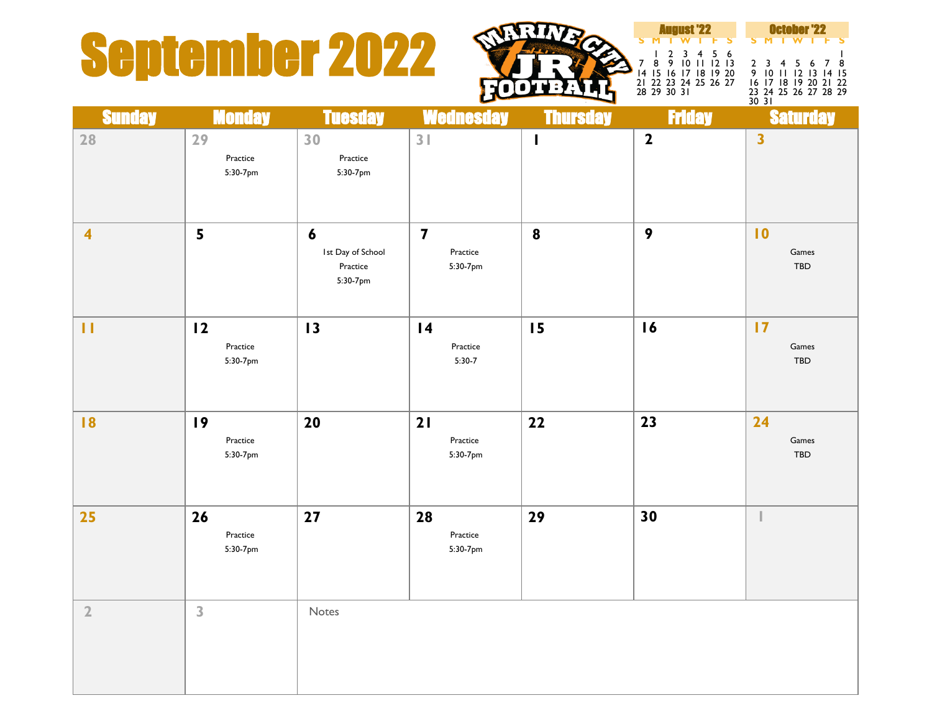## September 2022  $\sum_{1}^{1}$   $\sum_{1}^{2}$   $\sum_{2}^{3}$   $\sum_{2}$   $\sum_{3}^{5}$   $\sum_{1}^{1}$   $\sum_{1}^{2}$   $\sum_{2}$   $\sum_{3}^{2}$   $\sum_{3}^{3}$   $\sum_{4}^{4}$   $\sum_{5}^{5}$   $\sum_{6}^{7}$   $\sum_{7}^{8}$   $\sum_{8}^{8}$   $\sum_{10}^{11}$   $\sum_{12}^{12}$   $\sum_{13}^{2}$   $\sum_{14}^{3$



**S M T W T F S S M T W T F S** 1 2 3 4 5 6<br>8 9 10 11 12 13 2 3 4 5 6 7 8 8 9 10 11 12 13 2 3 4 5 6 7 8 15 16 17 18 19 20 9 10 11 12 13 14 15 22 23 24 25 26 27 16 17 18 19 20 21 22 29 30 31 23 24 25 26 27 28 29

23 24 25 26 27 28 29<br>30 31

| <b>Sunday</b>           | <b>Monday</b>              | <b>Tuesday</b>                                                | <b>Wednesday</b>                                | <b>Thursday</b>  | <b>Friday</b>    | <b>Saturday</b>                 |
|-------------------------|----------------------------|---------------------------------------------------------------|-------------------------------------------------|------------------|------------------|---------------------------------|
| 28                      | 29<br>Practice<br>5:30-7pm | 30<br>Practice<br>5:30-7pm                                    | 3 <sup>1</sup>                                  | $\mathbf{I}$     | $\mathbf{2}$     | $\overline{\mathbf{3}}$         |
| $\overline{\mathbf{4}}$ | 5                          | $\boldsymbol{6}$<br>Ist Day of School<br>Practice<br>5:30-7pm | $\overline{\mathbf{z}}$<br>Practice<br>5:30-7pm | $\boldsymbol{8}$ | $\boldsymbol{9}$ | $\overline{10}$<br>Games<br>TBD |
| $\mathbf{H}$            | 12<br>Practice<br>5:30-7pm | 13                                                            | $\overline{14}$<br>Practice<br>$5:30-7$         | 15               | 16               | 17<br>Games<br>TBD              |
| 8                       | 19<br>Practice<br>5:30-7pm | 20                                                            | 21<br>Practice<br>5:30-7pm                      | 22               | 23               | 24<br>Games<br>TBD              |
| 25                      | 26<br>Practice<br>5:30-7pm | $27$                                                          | 28<br>Practice<br>5:30-7pm                      | 29               | 30               |                                 |
| $\mathbf 2$             | 3                          | Notes                                                         |                                                 |                  |                  |                                 |